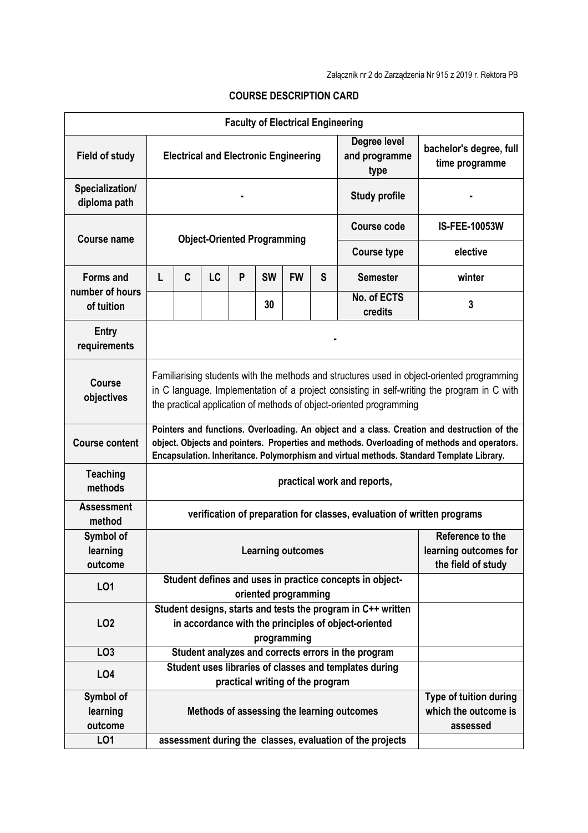| <b>Faculty of Electrical Engineering</b>          |                                                                                                                                                                                                                                                                                        |                                                                                                                                                                       |           |   |           |                                  |   |                                                                 |                      |
|---------------------------------------------------|----------------------------------------------------------------------------------------------------------------------------------------------------------------------------------------------------------------------------------------------------------------------------------------|-----------------------------------------------------------------------------------------------------------------------------------------------------------------------|-----------|---|-----------|----------------------------------|---|-----------------------------------------------------------------|----------------------|
| <b>Field of study</b>                             | Degree level<br><b>Electrical and Electronic Engineering</b><br>and programme<br>type                                                                                                                                                                                                  |                                                                                                                                                                       |           |   |           |                                  |   | bachelor's degree, full<br>time programme                       |                      |
| Specialization/<br>diploma path                   | <b>Study profile</b>                                                                                                                                                                                                                                                                   |                                                                                                                                                                       |           |   |           |                                  |   |                                                                 |                      |
| <b>Course name</b>                                | <b>Object-Oriented Programming</b>                                                                                                                                                                                                                                                     |                                                                                                                                                                       |           |   |           |                                  |   | <b>Course code</b>                                              | <b>IS-FEE-10053W</b> |
|                                                   |                                                                                                                                                                                                                                                                                        |                                                                                                                                                                       |           |   |           |                                  |   | <b>Course type</b>                                              | elective             |
| <b>Forms and</b><br>number of hours<br>of tuition | L                                                                                                                                                                                                                                                                                      | C                                                                                                                                                                     | <b>LC</b> | P | <b>SW</b> | <b>FW</b>                        | S | <b>Semester</b>                                                 | winter               |
|                                                   |                                                                                                                                                                                                                                                                                        |                                                                                                                                                                       |           |   | 30        |                                  |   | No. of ECTS<br>credits                                          | 3                    |
| <b>Entry</b><br>requirements                      |                                                                                                                                                                                                                                                                                        |                                                                                                                                                                       |           |   |           |                                  |   |                                                                 |                      |
| <b>Course</b><br>objectives                       | Familiarising students with the methods and structures used in object-oriented programming<br>in C language. Implementation of a project consisting in self-writing the program in C with<br>the practical application of methods of object-oriented programming                       |                                                                                                                                                                       |           |   |           |                                  |   |                                                                 |                      |
| <b>Course content</b>                             | Pointers and functions. Overloading. An object and a class. Creation and destruction of the<br>object. Objects and pointers. Properties and methods. Overloading of methods and operators.<br>Encapsulation. Inheritance. Polymorphism and virtual methods. Standard Template Library. |                                                                                                                                                                       |           |   |           |                                  |   |                                                                 |                      |
| <b>Teaching</b><br>methods                        | practical work and reports,                                                                                                                                                                                                                                                            |                                                                                                                                                                       |           |   |           |                                  |   |                                                                 |                      |
| <b>Assessment</b><br>method                       | verification of preparation for classes, evaluation of written programs                                                                                                                                                                                                                |                                                                                                                                                                       |           |   |           |                                  |   |                                                                 |                      |
| Symbol of<br>learning<br>outcome                  | <b>Learning outcomes</b>                                                                                                                                                                                                                                                               |                                                                                                                                                                       |           |   |           |                                  |   | Reference to the<br>learning outcomes for<br>the field of study |                      |
| LO1                                               | Student defines and uses in practice concepts in object-<br>oriented programming                                                                                                                                                                                                       |                                                                                                                                                                       |           |   |           |                                  |   |                                                                 |                      |
| LO <sub>2</sub>                                   |                                                                                                                                                                                                                                                                                        | Student designs, starts and tests the program in C++ written<br>in accordance with the principles of object-oriented<br>programming                                   |           |   |           |                                  |   |                                                                 |                      |
| LO <sub>3</sub>                                   |                                                                                                                                                                                                                                                                                        |                                                                                                                                                                       |           |   |           |                                  |   | Student analyzes and corrects errors in the program             |                      |
| LO4                                               |                                                                                                                                                                                                                                                                                        |                                                                                                                                                                       |           |   |           | practical writing of the program |   | Student uses libraries of classes and templates during          |                      |
| Symbol of<br>learning<br>outcome                  |                                                                                                                                                                                                                                                                                        | Type of tuition during<br>Methods of assessing the learning outcomes<br>which the outcome is<br>assessed<br>assessment during the classes, evaluation of the projects |           |   |           |                                  |   |                                                                 |                      |
| LO <sub>1</sub>                                   |                                                                                                                                                                                                                                                                                        |                                                                                                                                                                       |           |   |           |                                  |   |                                                                 |                      |

## **COURSE DESCRIPTION CARD**